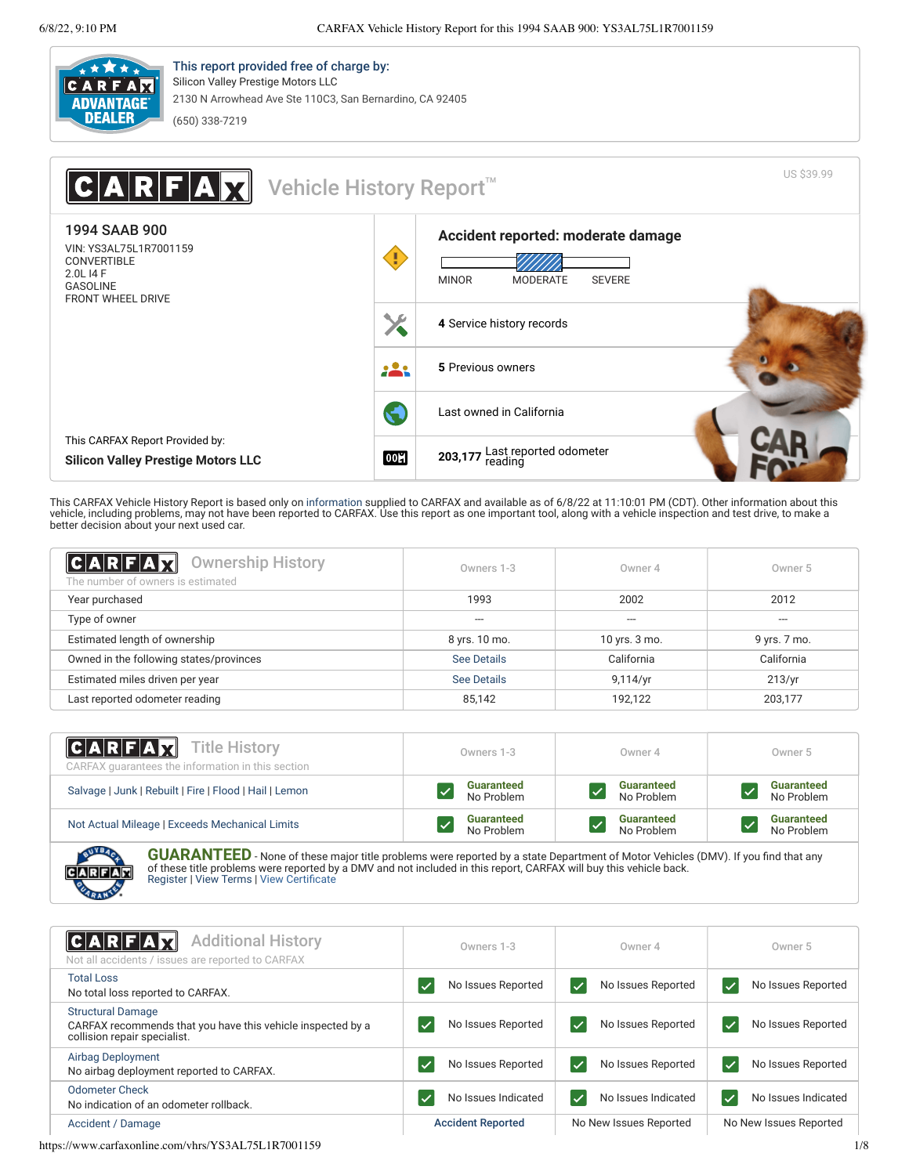

This report provided free of charge by: Silicon Valley Prestige Motors LLC 2130 N Arrowhead Ave Ste 110C3, San Bernardino, CA 92405 (650) 338-7219

| Vehicle History Report <sup>™</sup><br>ARFAX                                                                              |            |                                                                                        | US \$39.99 |
|---------------------------------------------------------------------------------------------------------------------------|------------|----------------------------------------------------------------------------------------|------------|
| 1994 SAAB 900<br>VIN: YS3AL75L1R7001159<br><b>CONVERTIBLE</b><br>2.0L I4 F<br><b>GASOLINE</b><br><b>FRONT WHEEL DRIVE</b> |            | Accident reported: moderate damage<br><b>SEVERE</b><br><b>MINOR</b><br><b>MODERATE</b> |            |
|                                                                                                                           |            | 4 Service history records                                                              |            |
|                                                                                                                           | <b>223</b> | 5 Previous owners                                                                      |            |
|                                                                                                                           | G          | Last owned in California                                                               |            |
| This CARFAX Report Provided by:<br><b>Silicon Valley Prestige Motors LLC</b>                                              | 00H        | 203,177 Last reported odometer<br>reading                                              |            |

This CARFAX Vehicle History Report is based only on [information](http://www.carfax.com/company/vhr-data-sources) supplied to CARFAX and available as of 6/8/22 at 11:10:01 PM (CDT). Other information about this<br>vehicle, including problems, may not have been reported to CA

<span id="page-0-1"></span>

| C A R F A T<br><b>Ownership History</b><br>The number of owners is estimated | Owners 1-3    | Owner 4       | Owner 5      |
|------------------------------------------------------------------------------|---------------|---------------|--------------|
| Year purchased                                                               | 1993          | 2002          | 2012         |
| Type of owner                                                                | $-$           | ---           | ---          |
| Estimated length of ownership                                                | 8 yrs. 10 mo. | 10 yrs. 3 mo. | 9 yrs. 7 mo. |
| Owned in the following states/provinces                                      | See Details   | California    | California   |
| Estimated miles driven per year                                              | See Details   | 9,114/yr      | 213/yr       |
| Last reported odometer reading                                               | 85,142        | 192,122       | 203,177      |

| $ C \text{ A}   R   F \text{ A}   X$ Title History<br>CARFAX quarantees the information in this section | Owners 1-3        | Owner 4           | Owner 5           |
|---------------------------------------------------------------------------------------------------------|-------------------|-------------------|-------------------|
| Salvage   Junk   Rebuilt   Fire   Flood   Hail   Lemon                                                  | <b>Guaranteed</b> | <b>Guaranteed</b> | <b>Guaranteed</b> |
|                                                                                                         | No Problem        | No Problem        | No Problem        |
| Not Actual Mileage   Exceeds Mechanical Limits                                                          | <b>Guaranteed</b> | <b>Guaranteed</b> | <b>Guaranteed</b> |
|                                                                                                         | No Problem        | No Problem        | No Problem        |

GUARANTEED - None of these major title problems were reported by a state Department of Motor Vehicles (DMV). If you find that any of these title problems were reported by a DMV and not included in this report, CARFAX will buy this vehicle back. [Register](https://www.carfax.com/Service/bbg) | [View Terms](http://www.carfaxonline.com/legal/bbgTerms) | [View Certificate](https://www.carfaxonline.com/vhrs/YS3AL75L1R7001159)

<span id="page-0-0"></span>

| $ C A R F A$ $ \nabla$<br><b>Additional History</b><br>Not all accidents / issues are reported to CARFAX                | Owners 1-3               | Owner 4                            | Owner 5                                        |
|-------------------------------------------------------------------------------------------------------------------------|--------------------------|------------------------------------|------------------------------------------------|
| <b>Total Loss</b><br>No total loss reported to CARFAX.                                                                  | No Issues Reported       | No Issues Reported                 | No Issues Reported                             |
| <b>Structural Damage</b><br>CARFAX recommends that you have this vehicle inspected by a<br>collision repair specialist. | No Issues Reported       | No Issues Reported<br>$\checkmark$ | No Issues Reported<br>$\overline{\mathscr{S}}$ |
| Airbag Deployment<br>No airbag deployment reported to CARFAX.                                                           | No Issues Reported       | No Issues Reported<br>$\checkmark$ | No Issues Reported<br>$\overline{\mathscr{S}}$ |
| Odometer Check<br>No indication of an odometer rollback.                                                                | No Issues Indicated      | No Issues Indicated                | No Issues Indicated<br>$\checkmark$            |
| Accident / Damage                                                                                                       | <b>Accident Reported</b> | No New Issues Reported             | No New Issues Reported                         |

https://www.carfaxonline.com/vhrs/YS3AL75L1R7001159 1/8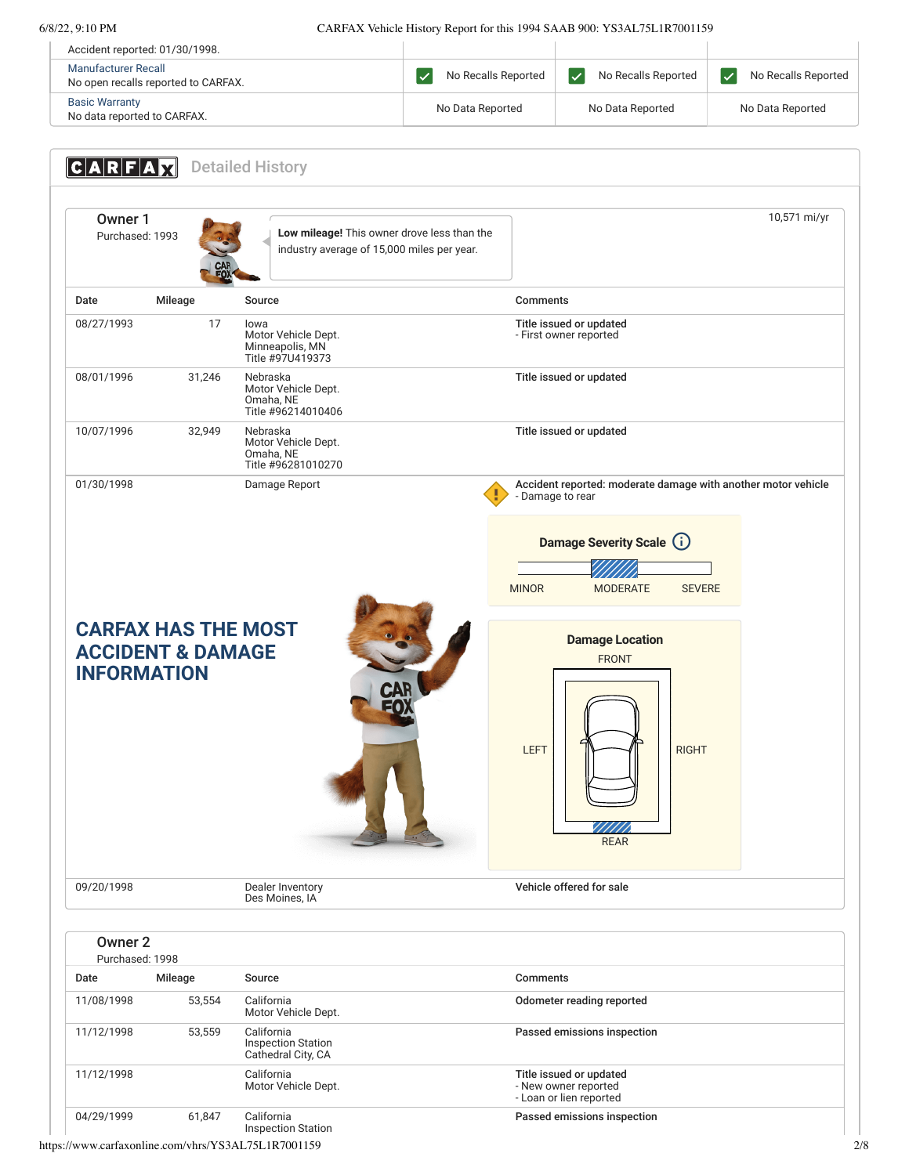6/8/22, 9:10 PM CARFAX Vehicle History Report for this 1994 SAAB 900: YS3AL75L1R7001159

| Accident reported: 01/30/1998.                             |                     |                                                   |                     |
|------------------------------------------------------------|---------------------|---------------------------------------------------|---------------------|
| Manufacturer Recall<br>No open recalls reported to CARFAX. | No Recalls Reported | No Recalls Reported<br>$\boldsymbol{\mathcal{U}}$ | No Recalls Reported |
| <b>Basic Warranty</b><br>No data reported to CARFAX.       | No Data Reported    | No Data Reported                                  | No Data Reported    |

<span id="page-1-1"></span><span id="page-1-0"></span>**CARFAX** Detailed History Owner 1<br>Purchased: 1993 Low mileage! This owner drove less than the industry average of 15,000 miles per year. 10,571 mi/yr Date Mileage Source Comments 08/27/1993 17 Iowa Motor Vehicle Dept. Minneapolis, MN Title #97U419373 Title issued or updated - First owner reported 08/01/1996 31,246 Nebraska Motor Vehicle Dept. Omaha, NE Title #96214010406 Title issued or updated 10/07/1996 32,949 Nebraska Motor Vehicle Dept. Omaha, NE Title #96281010270 Title issued or updated 01/30/1998 Damage Report Demage Report Accident reported: moderate damage with another motor vehicle - Damage to rear **CARFAX HAS THE MOST ACCIDENT & DAMAGE INFORMATION** 09/20/1998 Dealer Inventory Des Moines, IA Vehicle offered for sale Owner 2 Purchased: 1998 Date Mileage Source Comments 11/08/1998 53,554 California<br>Motor Vehicle Dept. Odometer reading reported 11/12/1998 53,559 California Inspection Station Cathedral City, CA Passed emissions inspection 11/12/1998 California Motor Vehicle Dept. Title issued or updated - New owner reported - Loan or lien reported 04/29/1999 61,847 California Passed emissions inspection **Damage Severity Scale** (i) MINOR MODERATE SEVERE **Damage Location** FRONT  $LEFT$   $\left| \begin{array}{c|c} \text{RIGHT} \end{array} \right|$  RIGHT REAR

https://www.carfaxonline.com/vhrs/YS3AL75L1R7001159 2/8

Inspection Station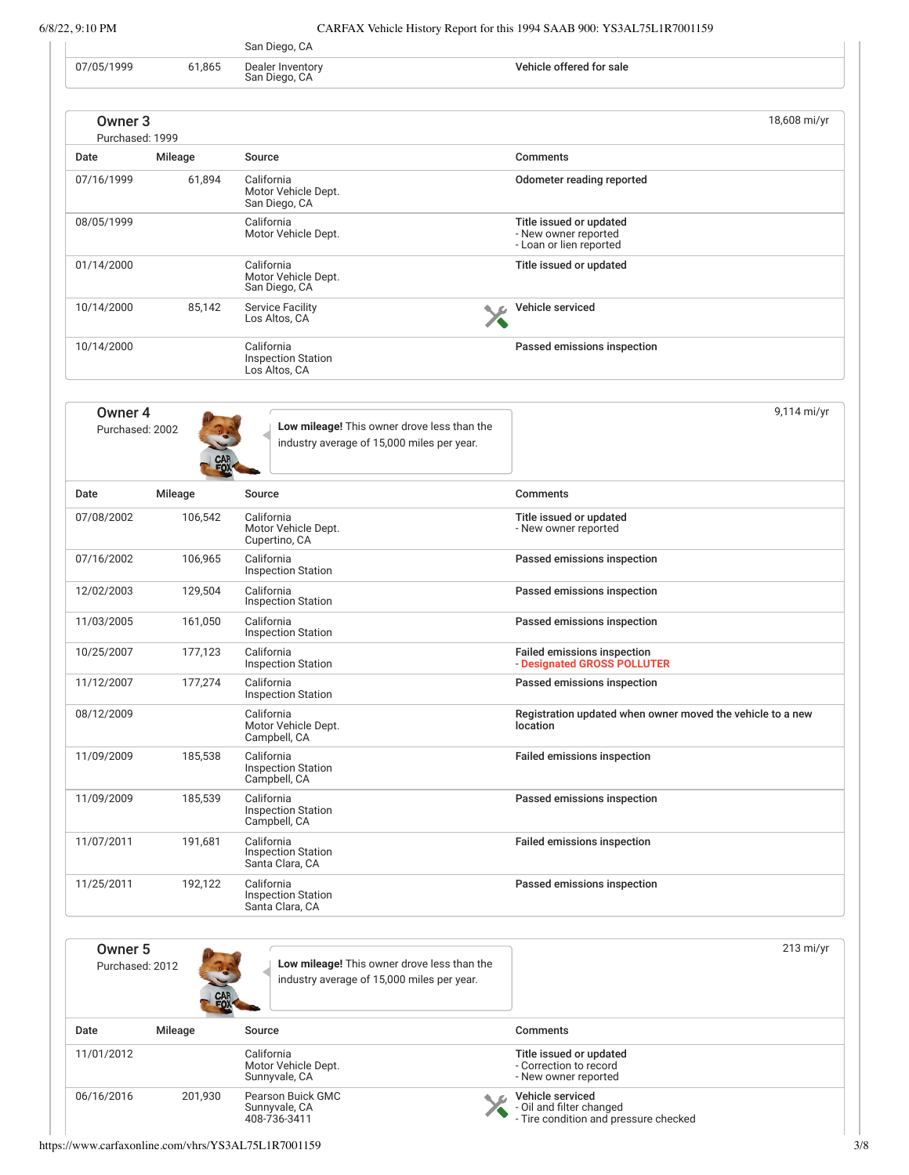|                            |         | San Diego, CA                                                                             |                                                                                       |
|----------------------------|---------|-------------------------------------------------------------------------------------------|---------------------------------------------------------------------------------------|
| 07/05/1999                 | 61,865  | Dealer Inventory<br>San Diego, CA                                                         | Vehicle offered for sale                                                              |
| Owner 3                    |         |                                                                                           | 18,608 mi/yr                                                                          |
| Purchased: 1999<br>Date    | Mileage | Source                                                                                    | Comments                                                                              |
| 07/16/1999                 | 61,894  | California<br>Motor Vehicle Dept.<br>San Diego, CA                                        | Odometer reading reported                                                             |
| 08/05/1999                 |         | California<br>Motor Vehicle Dept.                                                         | Title issued or updated<br>- New owner reported<br>- Loan or lien reported            |
| 01/14/2000                 |         | California<br>Motor Vehicle Dept.<br>San Diego, CA                                        | Title issued or updated                                                               |
| 10/14/2000                 | 85,142  | <b>Service Facility</b><br>Los Altos, CA                                                  | Vehicle serviced                                                                      |
| 10/14/2000                 |         | California<br><b>Inspection Station</b><br>Los Altos, CA                                  | Passed emissions inspection                                                           |
| Owner 4<br>Purchased: 2002 |         | Low mileage! This owner drove less than the<br>industry average of 15,000 miles per year. | 9,114 mi/yr                                                                           |
| Date                       | Mileage | Source                                                                                    | <b>Comments</b>                                                                       |
| 07/08/2002                 | 106,542 | California<br>Motor Vehicle Dept.<br>Cupertino, CA                                        | Title issued or updated<br>- New owner reported                                       |
| 07/16/2002                 | 106,965 | California<br><b>Inspection Station</b>                                                   | Passed emissions inspection                                                           |
| 12/02/2003                 | 129,504 | California<br><b>Inspection Station</b>                                                   | Passed emissions inspection                                                           |
| 11/03/2005                 | 161,050 | California<br><b>Inspection Station</b>                                                   | Passed emissions inspection                                                           |
| 10/25/2007                 | 177,123 | California<br><b>Inspection Station</b>                                                   | Failed emissions inspection<br>- Designated GROSS POLLUTER                            |
| 11/12/2007                 | 177,274 | California<br><b>Inspection Station</b>                                                   | Passed emissions inspection                                                           |
| 08/12/2009                 |         | California<br>Motor Vehicle Dept.<br>Campbell, CA                                         | Registration updated when owner moved the vehicle to a new<br>location                |
| 11/09/2009                 | 185,538 | California<br><b>Inspection Station</b><br>Campbell, CA                                   | <b>Failed emissions inspection</b>                                                    |
| 11/09/2009                 | 185,539 | California<br><b>Inspection Station</b><br>Campbell, CA                                   | Passed emissions inspection                                                           |
| 11/07/2011                 | 191,681 | California<br><b>Inspection Station</b><br>Santa Clara, CA                                | <b>Failed emissions inspection</b>                                                    |
| 11/25/2011                 | 192,122 | California<br><b>Inspection Station</b><br>Santa Clara, CA                                | Passed emissions inspection                                                           |
| Owner 5<br>Purchased: 2012 |         | Low mileage! This owner drove less than the<br>industry average of 15,000 miles per year. | 213 mi/yr                                                                             |
| Date                       | Mileage | Source                                                                                    | <b>Comments</b>                                                                       |
| 11/01/2012                 |         | California<br>Motor Vehicle Dept.<br>Sunnyvale, CA                                        | Title issued or updated<br>- Correction to record<br>- New owner reported             |
| 06/16/2016                 | 201,930 | Pearson Buick GMC<br>Sunnyvale, CA<br>408-736-3411                                        | Vehicle serviced<br>- Oil and filter changed<br>- Tire condition and pressure checked |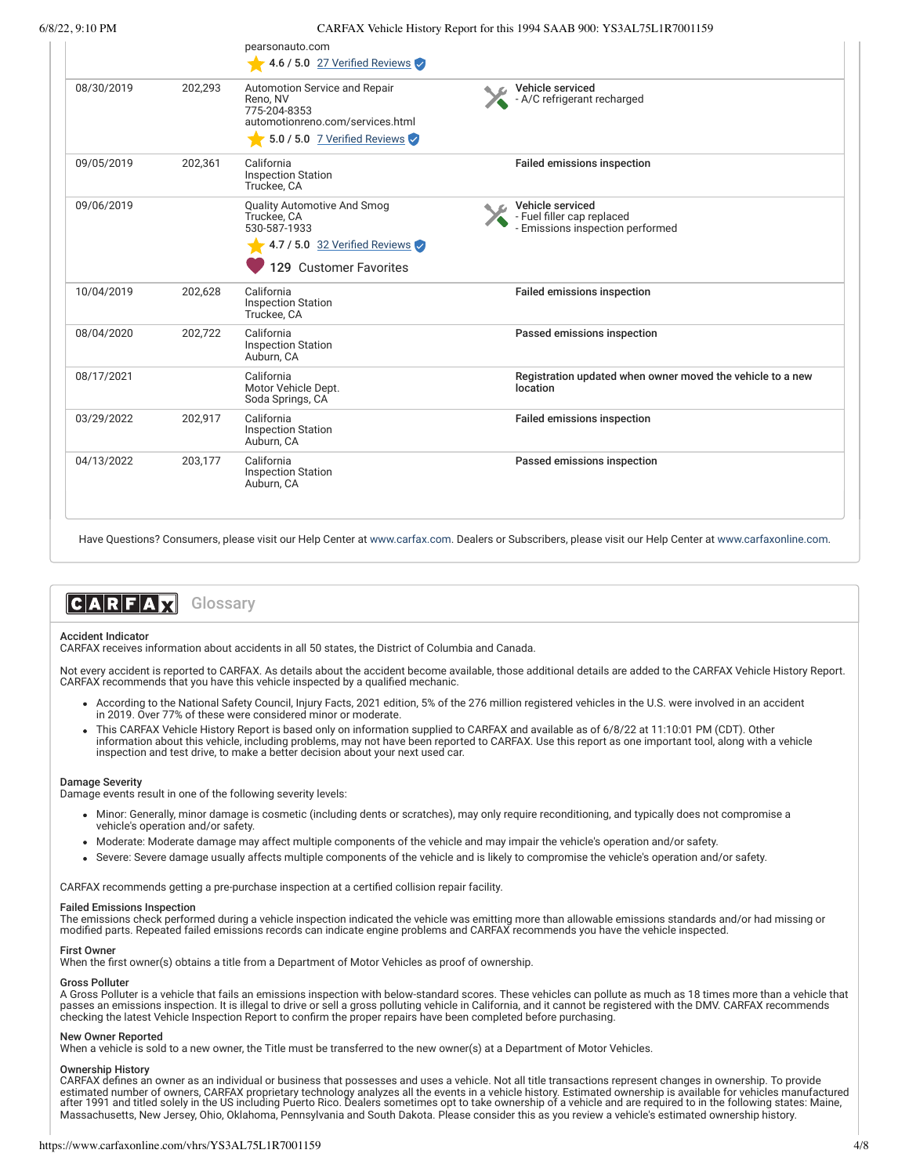|            |         | pearsonauto.com<br>4.6 / 5.0 27 Verified Reviews                                                                              |                                                                                    |
|------------|---------|-------------------------------------------------------------------------------------------------------------------------------|------------------------------------------------------------------------------------|
| 08/30/2019 | 202,293 | Automotion Service and Repair<br>Reno, NV<br>775-204-8353<br>automotionreno.com/services.html<br>5.0 / 5.0 7 Verified Reviews | Vehicle serviced<br>- A/C refrigerant recharged                                    |
| 09/05/2019 | 202,361 | California<br><b>Inspection Station</b><br>Truckee, CA                                                                        | <b>Failed emissions inspection</b>                                                 |
| 09/06/2019 |         | <b>Quality Automotive And Smog</b><br>Truckee, CA<br>530-587-1933<br>4.7 / 5.0 32 Verified Reviews<br>129 Customer Favorites  | Vehicle serviced<br>- Fuel filler cap replaced<br>- Emissions inspection performed |
| 10/04/2019 | 202,628 | California<br><b>Inspection Station</b><br>Truckee, CA                                                                        | Failed emissions inspection                                                        |
| 08/04/2020 | 202,722 | California<br><b>Inspection Station</b><br>Auburn, CA                                                                         | Passed emissions inspection                                                        |
| 08/17/2021 |         | California<br>Motor Vehicle Dept.<br>Soda Springs, CA                                                                         | Registration updated when owner moved the vehicle to a new<br>location             |
| 03/29/2022 | 202,917 | California<br><b>Inspection Station</b><br>Auburn, CA                                                                         | Failed emissions inspection                                                        |
| 04/13/2022 | 203,177 | California<br><b>Inspection Station</b><br>Auburn, CA                                                                         | Passed emissions inspection                                                        |

Have Questions? Consumers, please visit our Help Center at [www.carfax.com](http://www.carfax.com/help). Dealers or Subscribers, please visit our Help Center at [www.carfaxonline.com.](http://www.carfaxonline.com/)



#### Accident Indicator

CARFAX receives information about accidents in all 50 states, the District of Columbia and Canada.

Not every accident is reported to CARFAX. As details about the accident become available, those additional details are added to the CARFAX Vehicle History Report.<br>CARFAX recommends that you have this vehicle inspected by a

- According to the National Safety Council, Injury Facts, 2021 edition, 5% of the 276 million registered vehicles in the U.S. were involved in an accident in 2019. Over 77% of these were considered minor or moderate.
- This CARFAX Vehicle History Report is based only on information supplied to CARFAX and available as of 6/8/22 at 11:10:01 PM (CDT). Other information about this vehicle, including problems, may not have been reported to CARFAX. Use this report as one important tool, along with a vehicle inspection and test drive, to make a better decision about your next used car.

#### Damage Severity

Damage events result in one of the following severity levels:

- Minor: Generally, minor damage is cosmetic (including dents or scratches), may only require reconditioning, and typically does not compromise a vehicle's operation and/or safety.
- Moderate: Moderate damage may affect multiple components of the vehicle and may impair the vehicle's operation and/or safety.
- Severe: Severe damage usually affects multiple components of the vehicle and is likely to compromise the vehicle's operation and/or safety.

CARFAX recommends getting a pre-purchase inspection at a certified collision repair facility.

#### Failed Emissions Inspection

The emissions check performed during a vehicle inspection indicated the vehicle was emitting more than allowable emissions standards and/or had missing or<br>modified parts. Repeated failed emissions records can indicate engi

### **First Owner**

When the first owner(s) obtains a title from a Department of Motor Vehicles as proof of ownership.

#### Gross Polluter

A Gross Polluter is a vehicle that fails an emissions inspection with below-standard scores. These vehicles can pollute as much as 18 times more than a vehicle that passes an emissions inspection. It is illegal to drive or sell a gross polluting vehicle in California, and it cannot be registered with the DMV. CARFAX recommends checking the latest Vehicle Inspection Report to confirm the proper repairs have been completed before purchasing.

#### New Owner Reported

When a vehicle is sold to a new owner, the Title must be transferred to the new owner(s) at a Department of Motor Vehicles.

#### Ownership History

CARFAX defines an owner as an individual or business that possesses and uses a vehicle. Not all title transactions represent changes in ownership. To provide estimated number of owners, CARFAX proprietary technology analyzes all the events in a vehicle history. Estimated ownership is available for vehicles manufactured after 1991 and titled solely in the US including Puerto Rico. Dealers sometimes opt to take ownership of a vehicle and are required to in the following states: Maine, Massachusetts, New Jersey, Ohio, Oklahoma, Pennsylvania and South Dakota. Please consider this as you review a vehicle's estimated ownership history.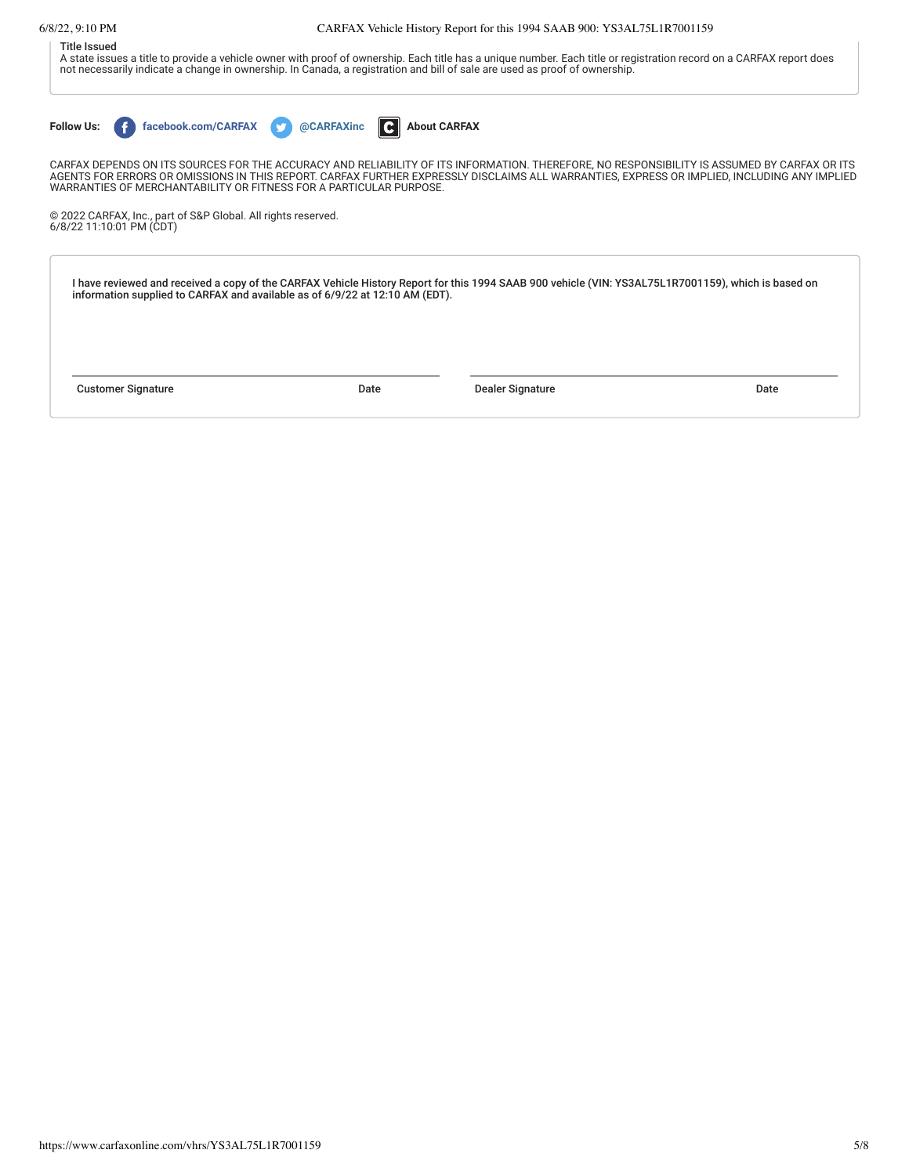## 6/8/22, 9:10 PM CARFAX Vehicle History Report for this 1994 SAAB 900: YS3AL75L1R7001159

## Title Issued

A state issues a title to provide a vehicle owner with proof of ownership. Each title has a unique number. Each title or registration record on a CARFAX report does not necessarily indicate a change in ownership. In Canada, a registration and bill of sale are used as proof of ownership.

**Follow Us: f** [facebook.com/CARFAX](https://www.facebook.com/CARFAXinc) **and the CARFAXinc [About CARFAX](http://www.carfax.com/company/about)** 

CARFAX DEPENDS ON ITS SOURCES FOR THE ACCURACY AND RELIABILITY OF ITS INFORMATION. THEREFORE, NO RESPONSIBILITY IS ASSUMED BY CARFAX OR ITS AGENTS FOR ERRORS OR OMISSIONS IN THIS REPORT. CARFAX FURTHER EXPRESSLY DISCLAIMS ALL WARRANTIES, EXPRESS OR IMPLIED, INCLUDING ANY IMPLIED<br>WARRANTIES OF MERCHANTABILITY OR FITNESS FOR A PARTICULAR PURPOSE.

© 2022 CARFAX, Inc., part of S&P Global. All rights reserved. 6/8/22 11:10:01 PM (CDT)

I have reviewed and received a copy of the CARFAX Vehicle History Report for this 1994 SAAB 900 vehicle (VIN: YS3AL75L1R7001159), which is based on<br>information supplied to CARFAX and available as of 6/9/22 at 12:10 AM (EDT

Customer Signature Date Dealer Signature Date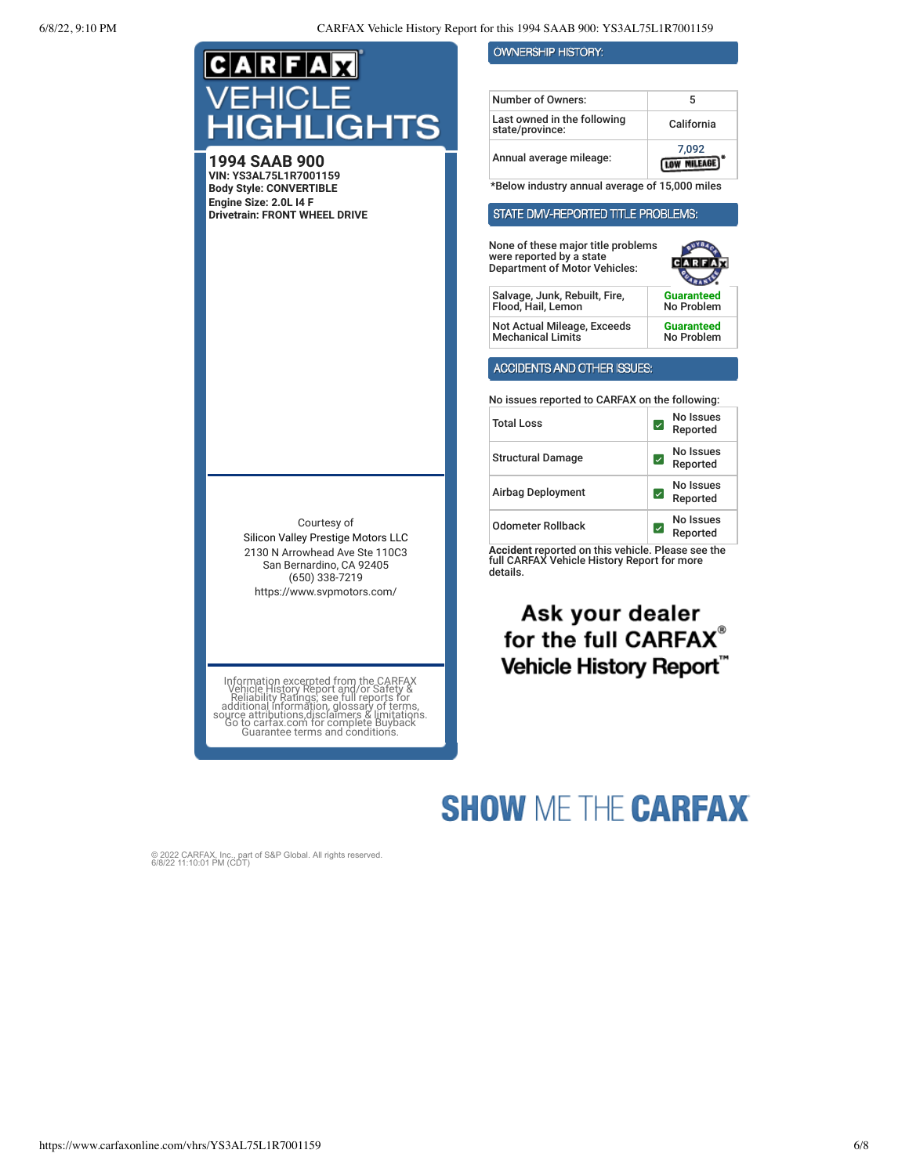| IE                                                                                                                                                                                                                                                                              | <b>OWNERSHIP HISTORY:</b>                                                                                                       |                                                 |
|---------------------------------------------------------------------------------------------------------------------------------------------------------------------------------------------------------------------------------------------------------------------------------|---------------------------------------------------------------------------------------------------------------------------------|-------------------------------------------------|
|                                                                                                                                                                                                                                                                                 |                                                                                                                                 |                                                 |
|                                                                                                                                                                                                                                                                                 | <b>Number of Owners:</b>                                                                                                        | 5                                               |
| <b>IIGHLIGHTS</b>                                                                                                                                                                                                                                                               | Last owned in the following<br>state/province:                                                                                  | California                                      |
| <b>1994 SAAB 900</b><br>VIN: YS3AL75L1R7001159                                                                                                                                                                                                                                  | Annual average mileage:                                                                                                         | 7,092<br><b>LOW MILEAGE</b>                     |
| <b>Body Style: CONVERTIBLE</b>                                                                                                                                                                                                                                                  | *Below industry annual average of 15,000 miles                                                                                  |                                                 |
| Engine Size: 2.0L I4 F<br><b>Drivetrain: FRONT WHEEL DRIVE</b>                                                                                                                                                                                                                  | STATE DMV-REPORTED TITLE PROBLEMS:                                                                                              |                                                 |
|                                                                                                                                                                                                                                                                                 | None of these major title problems<br>were reported by a state<br><b>Department of Motor Vehicles:</b>                          |                                                 |
|                                                                                                                                                                                                                                                                                 | Salvage, Junk, Rebuilt, Fire,<br>Flood, Hail, Lemon                                                                             | Guaranteed<br>No Problem                        |
|                                                                                                                                                                                                                                                                                 | Not Actual Mileage, Exceeds<br><b>Mechanical Limits</b>                                                                         | <b>Guaranteed</b><br>No Problem                 |
|                                                                                                                                                                                                                                                                                 | ACCIDENTS AND OTHER ISSUES:                                                                                                     |                                                 |
|                                                                                                                                                                                                                                                                                 | No issues reported to CARFAX on the following:                                                                                  |                                                 |
|                                                                                                                                                                                                                                                                                 | <b>Total Loss</b>                                                                                                               | No Issues<br>$\vert\downarrow\vert$<br>Reported |
|                                                                                                                                                                                                                                                                                 | <b>Structural Damage</b>                                                                                                        | No Issues<br>☑<br>Reported                      |
|                                                                                                                                                                                                                                                                                 | Airbag Deployment                                                                                                               | No Issues<br>∣√<br>Reported                     |
| Courtesy of<br>Silicon Valley Prestige Motors LLC                                                                                                                                                                                                                               | <b>Odometer Rollback</b>                                                                                                        | No Issues<br>$\vert\downarrow\vert$<br>Reported |
| 2130 N Arrowhead Ave Ste 110C3<br>San Bernardino, CA 92405<br>$(650)$ 338-7219<br>https://www.svpmotors.com/                                                                                                                                                                    | Accident reported on this vehicle. Please see the<br>full CARFAX Vehicle History Report for more<br>details.<br>Ask your dealer |                                                 |
|                                                                                                                                                                                                                                                                                 | for the full CARFAX                                                                                                             |                                                 |
|                                                                                                                                                                                                                                                                                 | <b>Vehicle History Report</b>                                                                                                   |                                                 |
| Information excerpted from the CARFAX<br>Vehicle History Report and/or Safety &<br>Reliability Ratings; see full reports for<br>additional information, glossary of terms,<br>source attributions disclaimers & limitations.<br>Go to cartax<br>Guarantee terms and conditions. |                                                                                                                                 |                                                 |

# **SHOW ME THE CARFAX**

© 2022 CARFAX, Inc., part of S&P Global. All rights reserved. 6/8/22 11:10:01 PM (CDT)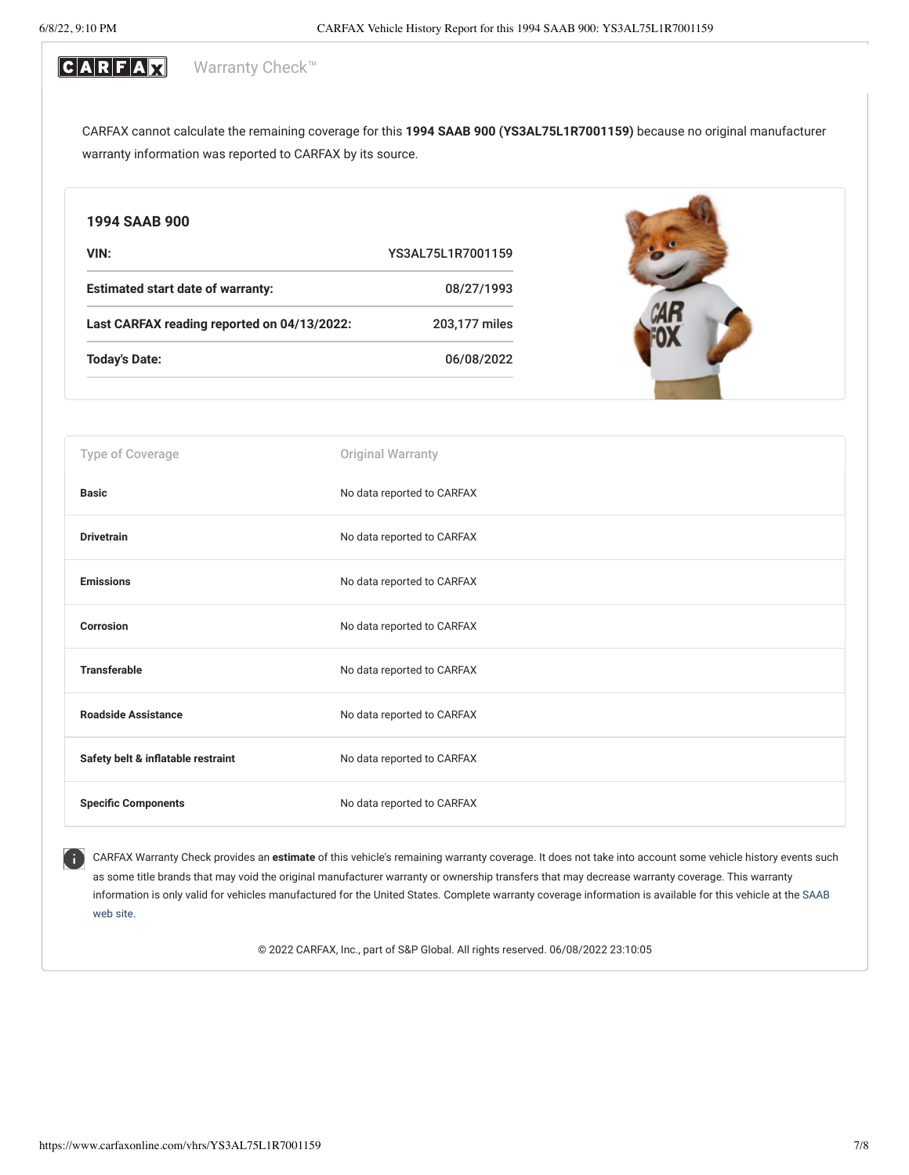#### CARFAX Warranty Check<sup>™</sup>

CARFAX cannot calculate the remaining coverage for this **1994 SAAB 900 (YS3AL75L1R7001159)** because no original manufacturer warranty information was reported to CARFAX by its source.

| 1994 SAAB 900                               |                            |
|---------------------------------------------|----------------------------|
| VIN:                                        | YS3AL75L1R7001159          |
| <b>Estimated start date of warranty:</b>    | 08/27/1993                 |
| Last CARFAX reading reported on 04/13/2022: | 203,177 miles              |
| <b>Today's Date:</b>                        | 06/08/2022                 |
|                                             |                            |
| Type of Coverage                            | <b>Original Warranty</b>   |
| <b>Basic</b>                                | No data reported to CARFAX |
| <b>Drivetrain</b>                           | No data reported to CARFAX |
| <b>Emissions</b>                            | No data reported to CARFAX |
| <b>Corrosion</b>                            | No data reported to CARFAX |
| <b>Transferable</b>                         | No data reported to CARFAX |
| <b>Roadside Assistance</b>                  | No data reported to CARFAX |
| Safety belt & inflatable restraint          | No data reported to CARFAX |
| <b>Specific Components</b>                  | No data reported to CARFAX |

CARFAX Warranty Check provides an **estimate** of this vehicle's remaining warranty coverage. It does not take into account some vehicle history events such as some title brands that may void the original manufacturer warranty or ownership transfers that may decrease warranty coverage. This warranty information is only valid for vehicles manufactured for the United States. [Complete warranty coverage information is available for this vehicle at the](http://www.saabusa.com/) SAAB web site.

© 2022 CARFAX, Inc., part of S&P Global. All rights reserved. 06/08/2022 23:10:05

Œ